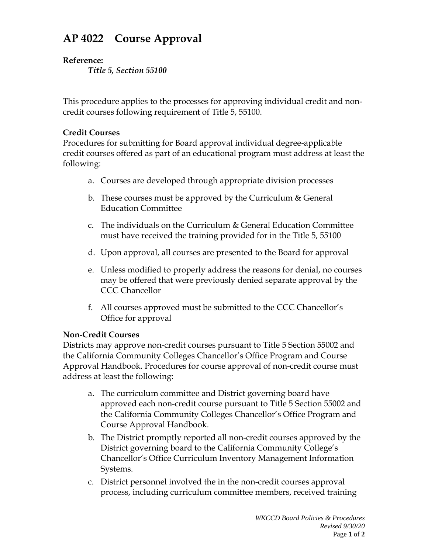## **AP 4022 Course Approval**

## **Reference:**

*Title 5, Section 55100*

This procedure applies to the processes for approving individual credit and noncredit courses following requirement of Title 5, 55100.

## **Credit Courses**

Procedures for submitting for Board approval individual degree-applicable credit courses offered as part of an educational program must address at least the following:

- a. Courses are developed through appropriate division processes
- b. These courses must be approved by the Curriculum  $\&$  General Education Committee
- c. The individuals on the Curriculum & General Education Committee must have received the training provided for in the Title 5, 55100
- d. Upon approval, all courses are presented to the Board for approval
- e. Unless modified to properly address the reasons for denial, no courses may be offered that were previously denied separate approval by the CCC Chancellor
- f. All courses approved must be submitted to the CCC Chancellor's Office for approval

## **Non-Credit Courses**

Districts may approve non-credit courses pursuant to Title 5 Section 55002 and the California Community Colleges Chancellor's Office Program and Course Approval Handbook. Procedures for course approval of non-credit course must address at least the following:

- a. The curriculum committee and District governing board have approved each non-credit course pursuant to Title 5 Section 55002 and the California Community Colleges Chancellor's Office Program and Course Approval Handbook.
- b. The District promptly reported all non-credit courses approved by the District governing board to the California Community College's Chancellor's Office Curriculum Inventory Management Information Systems.
- c. District personnel involved the in the non-credit courses approval process, including curriculum committee members, received training